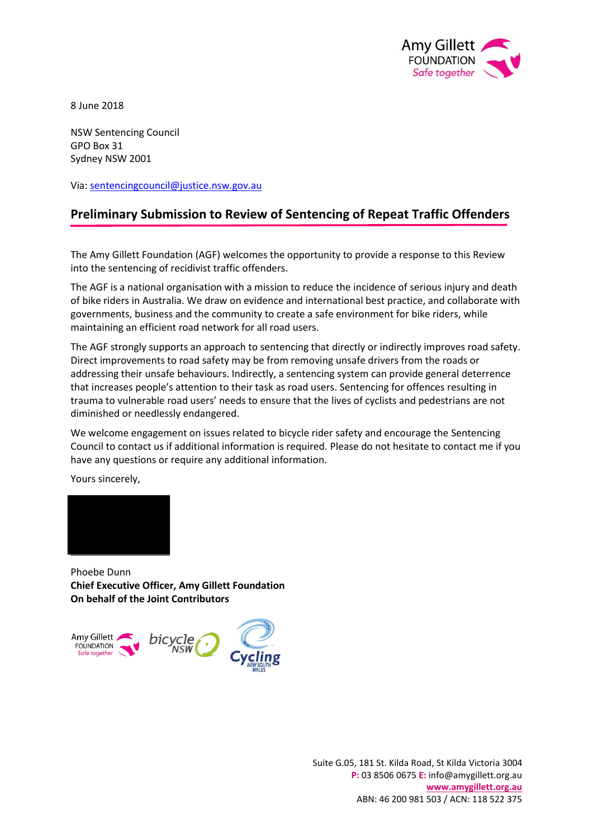

8 June 2018

NSW Sentencing Council GPO Box 31 Sydney NSW 2001

Via: [sentencingcouncil@justice.nsw.gov.au](mailto:sentencingcouncil@justice.nsw.gov.au)

# **Preliminary Submission to Review of Sentencing of Repeat Traffic Offenders**

The Amy Gillett Foundation (AGF) welcomes the opportunity to provide a response to this Review into the sentencing of recidivist traffic offenders.

The AGF is a national organisation with a mission to reduce the incidence of serious injury and death of bike riders in Australia. We draw on evidence and international best practice, and collaborate with governments, business and the community to create a safe environment for bike riders, while maintaining an efficient road network for all road users.

The AGF strongly supports an approach to sentencing that directly or indirectly improves road safety. Direct improvements to road safety may be from removing unsafe drivers from the roads or addressing their unsafe behaviours. Indirectly, a sentencing system can provide general deterrence that increases people's attention to their task as road users. Sentencing for offences resulting in trauma to vulnerable road users' needs to ensure that the lives of cyclists and pedestrians are not diminished or needlessly endangered.

We welcome engagement on issues related to bicycle rider safety and encourage the Sentencing Council to contact us if additional information is required. Please do not hesitate to contact me if you have any questions or require any additional information.

Yours sincerely,



Phoebe Dunn **Chief Executive Officer, Amy Gillett Foundation On behalf of the Joint Contributors** 

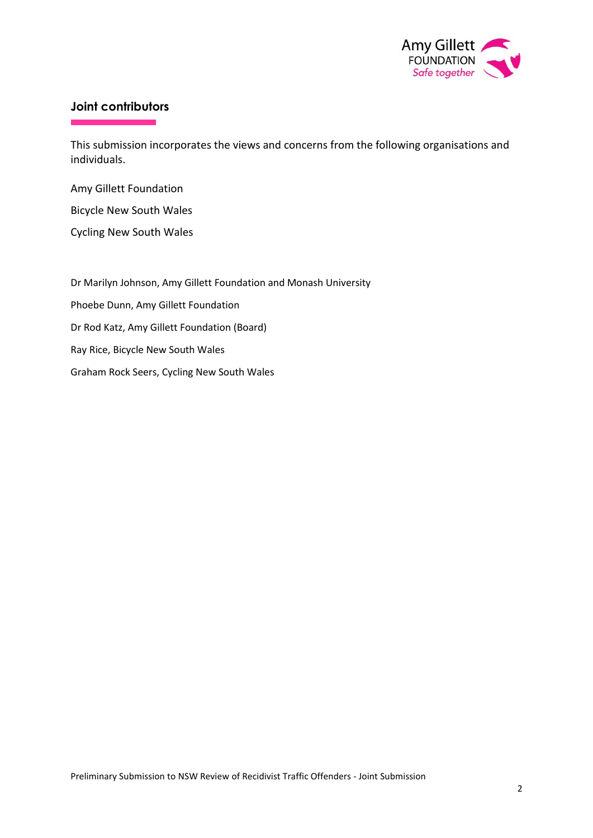

# **Joint contributors**

This submission incorporates the views and concerns from the following organisations and individuals.

Amy Gillett Foundation

Bicycle New South Wales

Cycling New South Wales

Dr Marilyn Johnson, Amy Gillett Foundation and Monash University Phoebe Dunn, Amy Gillett Foundation Dr Rod Katz, Amy Gillett Foundation (Board) Ray Rice, Bicycle New South Wales Graham Rock Seers, Cycling New South Wales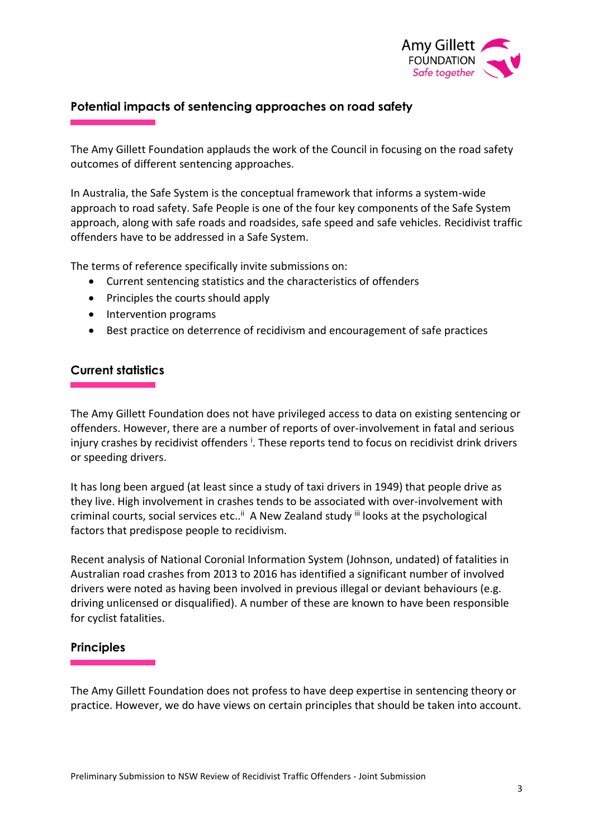

## **Potential impacts of sentencing approaches on road safety**

The Amy Gillett Foundation applauds the work of the Council in focusing on the road safety outcomes of different sentencing approaches.

In Australia, the Safe System is the conceptual framework that informs a system-wide approach to road safety. Safe People is one of the four key components of the Safe System approach, along with safe roads and roadsides, safe speed and safe vehicles. Recidivist traffic offenders have to be addressed in a Safe System.

The terms of reference specifically invite submissions on:

- Current sentencing statistics and the characteristics of offenders
- Principles the courts should apply
- Intervention programs
- Best practice on deterrence of recidivism and encouragement of safe practices

### **Current statistics**

The Amy Gillett Foundation does not have privileged access to data on existing sentencing or offenders. However, there are a number of reports of over-involvement in fatal and serious injury crashes by recidivist offenders <sup>i</sup>. These reports tend to focus on recidivist drink drivers or speeding drivers.

It has long been argued (at least since a study of taxi drivers in 1949) that people drive as they live. High involvement in crashes tends to be associated with over-involvement with criminal courts, social services etc..<sup>ii</sup> A New Zealand study <sup>iii</sup> looks at the psychological factors that predispose people to recidivism.

Recent analysis of National Coronial Information System (Johnson, undated) of fatalities in Australian road crashes from 2013 to 2016 has identified a significant number of involved drivers were noted as having been involved in previous illegal or deviant behaviours (e.g. driving unlicensed or disqualified). A number of these are known to have been responsible for cyclist fatalities.

#### **Principles**

The Amy Gillett Foundation does not profess to have deep expertise in sentencing theory or practice. However, we do have views on certain principles that should be taken into account.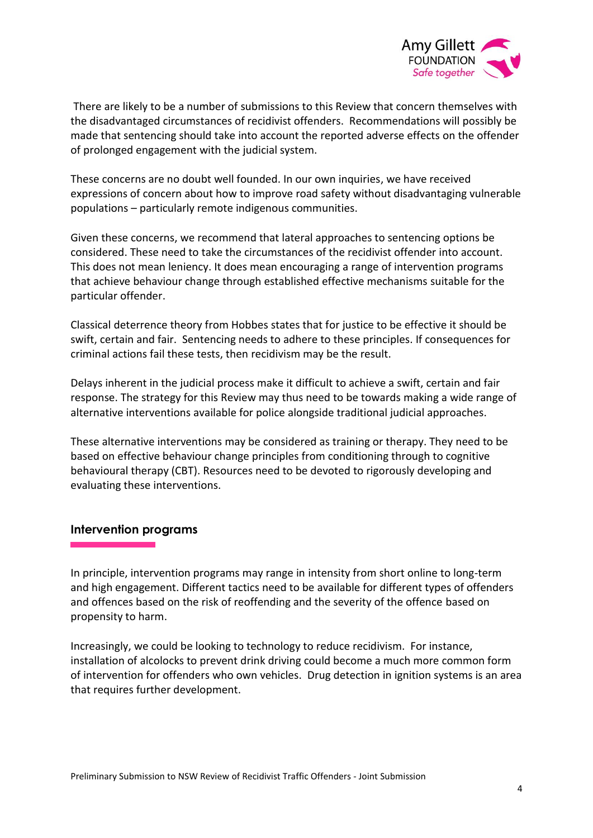

There are likely to be a number of submissions to this Review that concern themselves with the disadvantaged circumstances of recidivist offenders. Recommendations will possibly be made that sentencing should take into account the reported adverse effects on the offender of prolonged engagement with the judicial system.

These concerns are no doubt well founded. In our own inquiries, we have received expressions of concern about how to improve road safety without disadvantaging vulnerable populations – particularly remote indigenous communities.

Given these concerns, we recommend that lateral approaches to sentencing options be considered. These need to take the circumstances of the recidivist offender into account. This does not mean leniency. It does mean encouraging a range of intervention programs that achieve behaviour change through established effective mechanisms suitable for the particular offender.

Classical deterrence theory from Hobbes states that for justice to be effective it should be swift, certain and fair. Sentencing needs to adhere to these principles. If consequences for criminal actions fail these tests, then recidivism may be the result.

Delays inherent in the judicial process make it difficult to achieve a swift, certain and fair response. The strategy for this Review may thus need to be towards making a wide range of alternative interventions available for police alongside traditional judicial approaches.

These alternative interventions may be considered as training or therapy. They need to be based on effective behaviour change principles from conditioning through to cognitive behavioural therapy (CBT). Resources need to be devoted to rigorously developing and evaluating these interventions.

#### **Intervention programs**

In principle, intervention programs may range in intensity from short online to long-term and high engagement. Different tactics need to be available for different types of offenders and offences based on the risk of reoffending and the severity of the offence based on propensity to harm.

Increasingly, we could be looking to technology to reduce recidivism. For instance, installation of alcolocks to prevent drink driving could become a much more common form of intervention for offenders who own vehicles. Drug detection in ignition systems is an area that requires further development.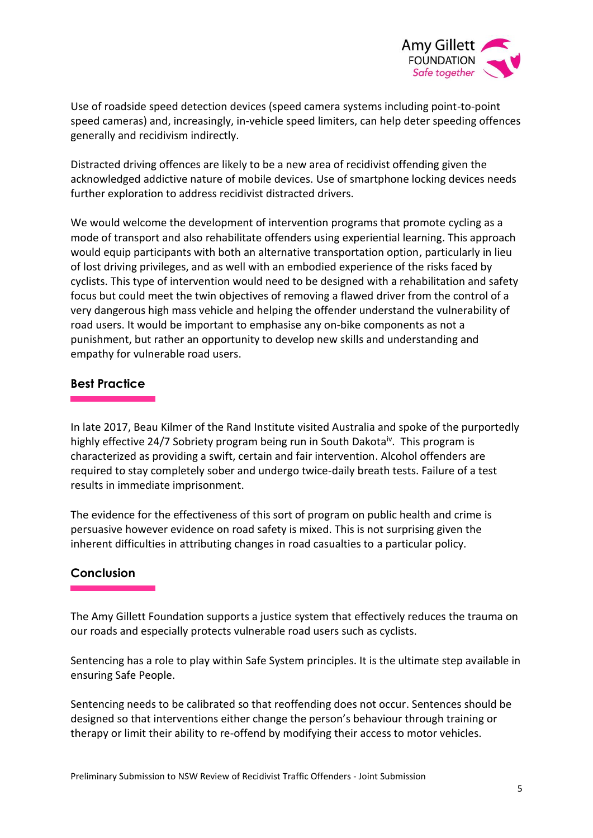

Use of roadside speed detection devices (speed camera systems including point-to-point speed cameras) and, increasingly, in-vehicle speed limiters, can help deter speeding offences generally and recidivism indirectly.

Distracted driving offences are likely to be a new area of recidivist offending given the acknowledged addictive nature of mobile devices. Use of smartphone locking devices needs further exploration to address recidivist distracted drivers.

We would welcome the development of intervention programs that promote cycling as a mode of transport and also rehabilitate offenders using experiential learning. This approach would equip participants with both an alternative transportation option, particularly in lieu of lost driving privileges, and as well with an embodied experience of the risks faced by cyclists. This type of intervention would need to be designed with a rehabilitation and safety focus but could meet the twin objectives of removing a flawed driver from the control of a very dangerous high mass vehicle and helping the offender understand the vulnerability of road users. It would be important to emphasise any on-bike components as not a punishment, but rather an opportunity to develop new skills and understanding and empathy for vulnerable road users.

# **Best Practice**

In late 2017, Beau Kilmer of the Rand Institute visited Australia and spoke of the purportedly highly effective 24/7 Sobriety program being run in South Dakota<sup>iv</sup>. This program is characterized as providing a swift, certain and fair intervention. Alcohol offenders are required to stay completely sober and undergo twice-daily breath tests. Failure of a test results in immediate imprisonment.

The evidence for the effectiveness of this sort of program on public health and crime is persuasive however evidence on road safety is mixed. This is not surprising given the inherent difficulties in attributing changes in road casualties to a particular policy.

## **Conclusion**

The Amy Gillett Foundation supports a justice system that effectively reduces the trauma on our roads and especially protects vulnerable road users such as cyclists.

Sentencing has a role to play within Safe System principles. It is the ultimate step available in ensuring Safe People.

Sentencing needs to be calibrated so that reoffending does not occur. Sentences should be designed so that interventions either change the person's behaviour through training or therapy or limit their ability to re-offend by modifying their access to motor vehicles.